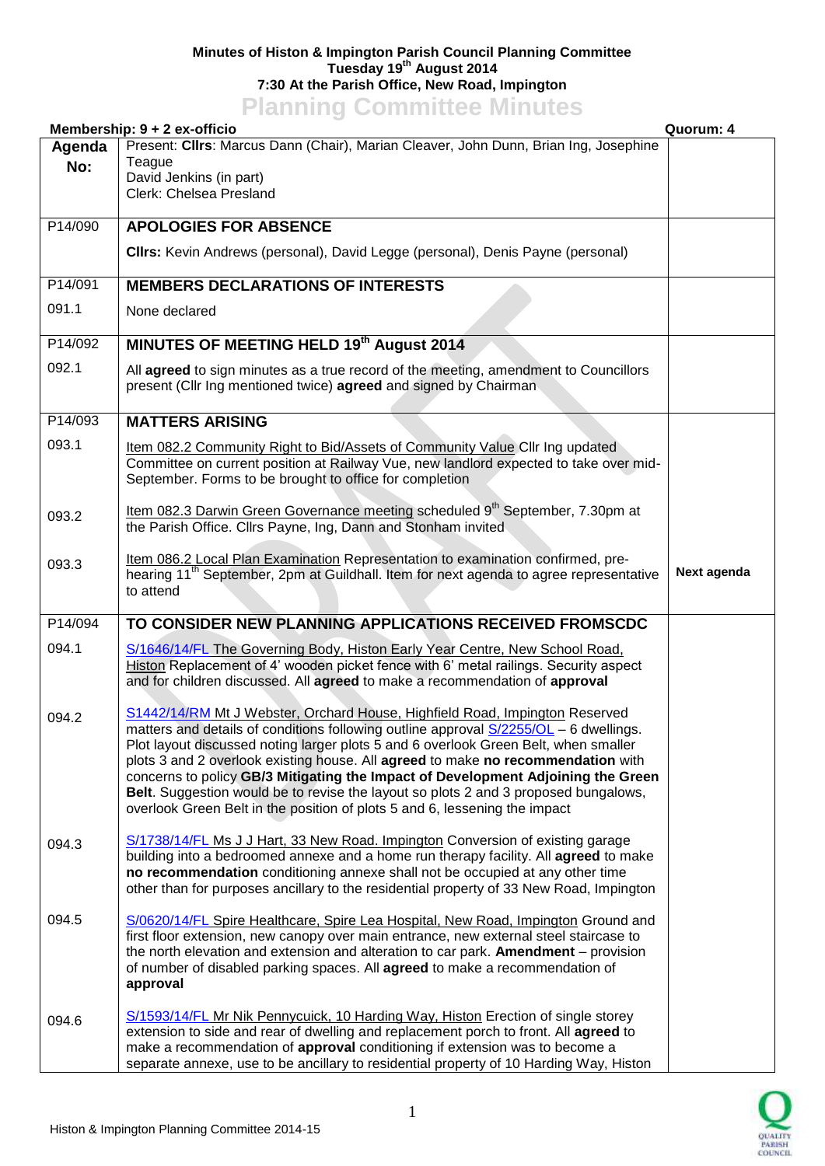## **Minutes of Histon & Impington Parish Council Planning Committee Tuesday 19th August 2014 7:30 At the Parish Office, New Road, Impington Planning Committee Minutes**

|               | <b>TRUBBING COMMITTEE</b><br>Membership: 9 + 2 ex-officio                                                                                                                                                                                                                                                                                                                                                                                                                                                                                                                                                | Quorum: 4   |
|---------------|----------------------------------------------------------------------------------------------------------------------------------------------------------------------------------------------------------------------------------------------------------------------------------------------------------------------------------------------------------------------------------------------------------------------------------------------------------------------------------------------------------------------------------------------------------------------------------------------------------|-------------|
| Agenda<br>No: | Present: Cllrs: Marcus Dann (Chair), Marian Cleaver, John Dunn, Brian Ing, Josephine<br>Teague<br>David Jenkins (in part)<br>Clerk: Chelsea Presland                                                                                                                                                                                                                                                                                                                                                                                                                                                     |             |
| P14/090       | <b>APOLOGIES FOR ABSENCE</b>                                                                                                                                                                                                                                                                                                                                                                                                                                                                                                                                                                             |             |
|               | CIIrs: Kevin Andrews (personal), David Legge (personal), Denis Payne (personal)                                                                                                                                                                                                                                                                                                                                                                                                                                                                                                                          |             |
| P14/091       | <b>MEMBERS DECLARATIONS OF INTERESTS</b>                                                                                                                                                                                                                                                                                                                                                                                                                                                                                                                                                                 |             |
| 091.1         | None declared                                                                                                                                                                                                                                                                                                                                                                                                                                                                                                                                                                                            |             |
| P14/092       | MINUTES OF MEETING HELD 19th August 2014                                                                                                                                                                                                                                                                                                                                                                                                                                                                                                                                                                 |             |
| 092.1         | All agreed to sign minutes as a true record of the meeting, amendment to Councillors<br>present (Cllr Ing mentioned twice) agreed and signed by Chairman                                                                                                                                                                                                                                                                                                                                                                                                                                                 |             |
| P14/093       | <b>MATTERS ARISING</b>                                                                                                                                                                                                                                                                                                                                                                                                                                                                                                                                                                                   |             |
| 093.1         | Item 082.2 Community Right to Bid/Assets of Community Value Cllr Ing updated<br>Committee on current position at Railway Vue, new landlord expected to take over mid-<br>September. Forms to be brought to office for completion                                                                                                                                                                                                                                                                                                                                                                         |             |
| 093.2         | Item 082.3 Darwin Green Governance meeting scheduled 9 <sup>th</sup> September, 7.30pm at<br>the Parish Office. Cllrs Payne, Ing, Dann and Stonham invited                                                                                                                                                                                                                                                                                                                                                                                                                                               |             |
| 093.3         | Item 086.2 Local Plan Examination Representation to examination confirmed, pre-<br>hearing 11 <sup>th</sup> September, 2pm at Guildhall. Item for next agenda to agree representative<br>to attend                                                                                                                                                                                                                                                                                                                                                                                                       | Next agenda |
| P14/094       | TO CONSIDER NEW PLANNING APPLICATIONS RECEIVED FROMSCDC                                                                                                                                                                                                                                                                                                                                                                                                                                                                                                                                                  |             |
| 094.1         | S/1646/14/FL The Governing Body, Histon Early Year Centre, New School Road,<br>Histon Replacement of 4' wooden picket fence with 6' metal railings. Security aspect<br>and for children discussed. All agreed to make a recommendation of approval                                                                                                                                                                                                                                                                                                                                                       |             |
| 094.2         | S1442/14/RM Mt J Webster, Orchard House, Highfield Road, Impington Reserved<br>matters and details of conditions following outline approval S/2255/OL - 6 dwellings.<br>Plot layout discussed noting larger plots 5 and 6 overlook Green Belt, when smaller<br>plots 3 and 2 overlook existing house. All agreed to make no recommendation with<br>concerns to policy GB/3 Mitigating the Impact of Development Adjoining the Green<br>Belt. Suggestion would be to revise the layout so plots 2 and 3 proposed bungalows,<br>overlook Green Belt in the position of plots 5 and 6, lessening the impact |             |
| 094.3         | S/1738/14/FL Ms J J Hart, 33 New Road. Impington Conversion of existing garage<br>building into a bedroomed annexe and a home run therapy facility. All agreed to make<br>no recommendation conditioning annexe shall not be occupied at any other time<br>other than for purposes ancillary to the residential property of 33 New Road, Impington                                                                                                                                                                                                                                                       |             |
| 094.5         | S/0620/14/FL Spire Healthcare, Spire Lea Hospital, New Road, Impington Ground and<br>first floor extension, new canopy over main entrance, new external steel staircase to<br>the north elevation and extension and alteration to car park. Amendment – provision<br>of number of disabled parking spaces. All <b>agreed</b> to make a recommendation of<br>approval                                                                                                                                                                                                                                     |             |
| 094.6         | S/1593/14/FL Mr Nik Pennycuick, 10 Harding Way, Histon Erection of single storey<br>extension to side and rear of dwelling and replacement porch to front. All agreed to<br>make a recommendation of approval conditioning if extension was to become a<br>separate annexe, use to be ancillary to residential property of 10 Harding Way, Histon                                                                                                                                                                                                                                                        |             |